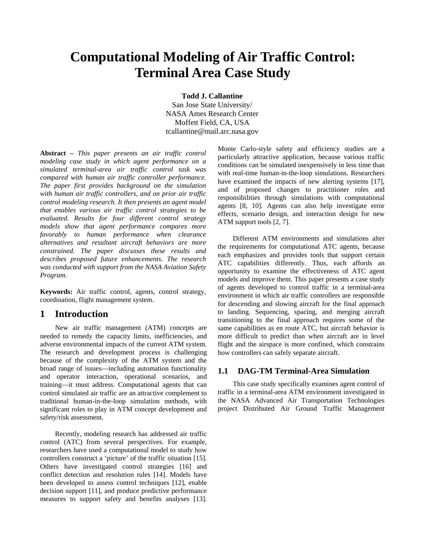# **Computational Modeling of Air Traffic Control: Terminal Area Case Study**

**Todd J. Callantine** 

San Jose State University/ NASA Ames Research Center Moffett Field, CA, USA tcallantine@mail.arc.nasa.gov

**Abstract** *– This paper presents an air traffic control modeling case study in which agent performance on a simulated terminal-area air traffic control task was compared with human air traffic controller performance. The paper first provides background on the simulation with human air traffic controllers, and on prior air traffic control modeling research. It then presents an agent model that enables various air traffic control strategies to be evaluated. Results for four different control strategy models show that agent performance compares more favorably to human performance when clearance alternatives and resultant aircraft behaviors are more constrained. The paper discusses these results and describes proposed future enhancements. The research was conducted with support from the NASA Aviation Safety Program.* 

**Keywords:** Air traffic control, agents, control strategy, coordination, flight management system.

## **1 Introduction**

 New air traffic management (ATM) concepts are needed to remedy the capacity limits, inefficiencies, and adverse environmental impacts of the current ATM system. The research and development process is challenging because of the complexity of the ATM system and the broad range of issues—including automation functionality and operator interaction, operational scenarios, and training—it must address. Computational agents that can control simulated air traffic are an attractive complement to traditional human-in-the-loop simulation methods, with significant roles to play in ATM concept development and safety/risk assessment.

 Recently, modeling research has addressed air traffic control (ATC) from several perspectives. For example, researchers have used a computational model to study how controllers construct a 'picture' of the traffic situation [15]. Others have investigated control strategies [16] and conflict detection and resolution rules [14]. Models have been developed to assess control techniques [12], enable decision support [11], and produce predictive performance measures to support safety and benefits analyses [13].

Monte Carlo-style safety and efficiency studies are a particularly attractive application, because various traffic conditions can be simulated inexpensively in less time than with real-time human-in-the-loop simulations. Researchers have examined the impacts of new alerting systems [17], and of proposed changes to practitioner roles and responsibilities through simulations with computational agents [8, 10]. Agents can also help investigate error effects, scenario design, and interaction design for new ATM support tools [2, 7].

 Different ATM environments and simulations alter the requirements for computational ATC agents, because each emphasizes and provides tools that support certain ATC capabilities differently. Thus, each affords an opportunity to examine the effectiveness of ATC agent models and improve them. This paper presents a case study of agents developed to control traffic in a terminal-area environment in which air traffic controllers are responsible for descending and slowing aircraft for the final approach to landing. Sequencing, spacing, and merging aircraft transitioning to the final approach requires some of the same capabilities as en route ATC, but aircraft behavior is more difficult to predict than when aircraft are in level flight and the airspace is more confined, which constrains how controllers can safely separate aircraft.

#### **1.1 DAG-TM Terminal-Area Simulation**

 This case study specifically examines agent control of traffic in a terminal-area ATM environment investigated in the NASA Advanced Air Transportation Technologies project Distributed Air Ground Traffic Management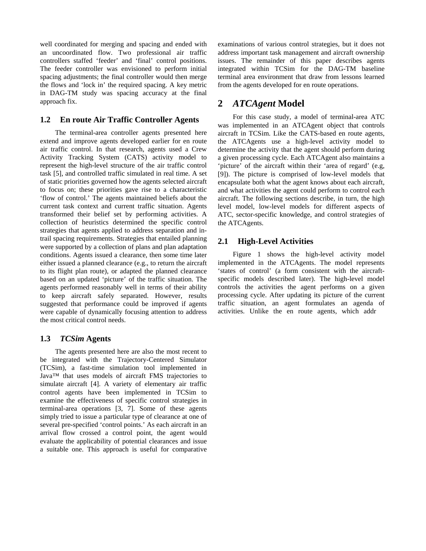well coordinated for merging and spacing and ended with an uncoordinated flow. Two professional air traffic controllers staffed 'feeder' and 'final' control positions. The feeder controller was envisioned to perform initial spacing adjustments; the final controller would then merge the flows and 'lock in' the required spacing. A key metric in DAG-TM study was spacing accuracy at the final approach fix.

#### **1.2 En route Air Traffic Controller Agents**

The terminal-area controller agents presented here extend and improve agents developed earlier for en route air traffic control. In that research, agents used a Crew Activity Tracking System (CATS) activity model to represent the high-level structure of the air traffic control task [5], and controlled traffic simulated in real time. A set of static priorities governed how the agents selected aircraft to focus on; these priorities gave rise to a characteristic 'flow of control.' The agents maintained beliefs about the current task context and current traffic situation. Agents transformed their belief set by performing activities. A collection of heuristics determined the specific control strategies that agents applied to address separation and intrail spacing requirements. Strategies that entailed planning were supported by a collection of plans and plan adaptation conditions. Agents issued a clearance, then some time later either issued a planned clearance (e.g., to return the aircraft to its flight plan route), or adapted the planned clearance based on an updated 'picture' of the traffic situation. The agents performed reasonably well in terms of their ability to keep aircraft safely separated. However, results suggested that performance could be improved if agents were capable of dynamically focusing attention to address the most critical control needs.

#### **1.3** *TCSim* **Agents**

The agents presented here are also the most recent to be integrated with the Trajectory-Centered Simulator (TCSim), a fast-time simulation tool implemented in Java™ that uses models of aircraft FMS trajectories to simulate aircraft [4]. A variety of elementary air traffic control agents have been implemented in TCSim to examine the effectiveness of specific control strategies in terminal-area operations [3, 7]. Some of these agents simply tried to issue a particular type of clearance at one of several pre-specified 'control points.' As each aircraft in an arrival flow crossed a control point, the agent would evaluate the applicability of potential clearances and issue a suitable one. This approach is useful for comparative examinations of various control strategies, but it does not address important task management and aircraft ownership issues. The remainder of this paper describes agents integrated within TCSim for the DAG-TM baseline terminal area environment that draw from lessons learned from the agents developed for en route operations.

### **2** *ATCAgent* **Model**

For this case study, a model of terminal-area ATC was implemented in an ATCAgent object that controls aircraft in TCSim. Like the CATS-based en route agents, the ATCAgents use a high-level activity model to determine the activity that the agent should perform during a given processing cycle. Each ATCAgent also maintains a 'picture' of the aircraft within their 'area of regard' (e.g, [9]). The picture is comprised of low-level models that encapsulate both what the agent knows about each aircraft, and what activities the agent could perform to control each aircraft. The following sections describe, in turn, the high level model, low-level models for different aspects of ATC, sector-specific knowledge, and control strategies of the ATCAgents.

#### **2.1 High-Level Activities**

Figure 1 shows the high-level activity model implemented in the ATCAgents. The model represents 'states of control' (a form consistent with the aircraftspecific models described later). The high-level model controls the activities the agent performs on a given processing cycle. After updating its picture of the current trafficiesituation, p ance agent typermulates gian agenda of activities. Unlike the en route agents, which addr

> ent agen a inclu es all the activ e ag t do. The  $ATdgent$  **h** ens, sortbups, and dul he

> > at a set to performclearances to issue. On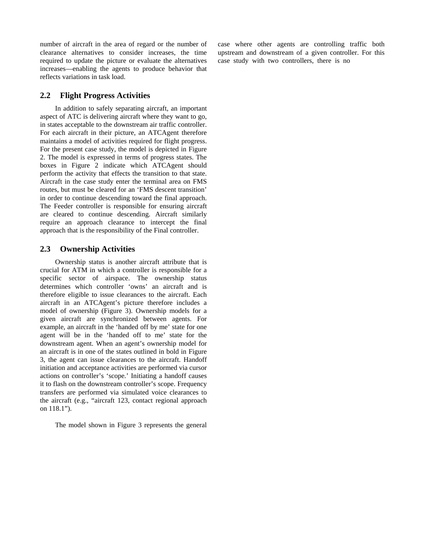number of aircraft in the area of regard or the number of clearance alternatives to consider increases, the time required to update the picture or evaluate the alternatives increases—enabling the agents to produce behavior that reflects variations in task load.

**2.2 Flight Progress Activities** 

In addition to safely separating aircraft, an important aspect of ATC is delivering aircraft where they want to go, in states acceptable to the downstream air traffic controller. For each aircraft in their picture, an ATCAgent therefore maintains a model of activities required for flight progress. For the present case study, the model is depicted in Figure 2. The model is expressed in terms of progress states. The boxes in Figure 2 indicate which ATCAgent should perform the activity that effects the transition to that state. Aircraft in the case study enter the terminal area on FMS routes, but must be cleared for an 'FMS descent transition' in order to continue descending toward the final approach. The Feeder controller is responsible for ensuring aircraft are cleared to continue descending. Aircraft similarly require an approach clearance to intercept the final approach that is the responsibility of the Final controller.

#### **2.3 Ownership Activities**

Ownership status is another aircraft attribute that is crucial for ATM in which a controller is responsible for a specific sector of airspace. The ownership status determines which controller 'owns' an aircraft and is therefore eligible to issue clearances to the aircraft. Each aircraft in an ATCAgent's picture therefore includes a model of ownership (Figure 3). Ownership models for a given aircraft are synchronized between agents. For example, an aircraft in the 'handed off by me' state for one agent will be in the 'handed off to me' state for the downstream agent. When an agent's ownership model for an aircraft is in one of the states outlined in bold in Figure 3, the agent can issue clearances to the aircraft. Handoff initiation and acceptance activities are performed via cursor actions on controller's 'scope.' Initiating a handoff causes it to flash on the downstream controller's scope. Frequency transfers are performed via simulated voice clearances to the aircraft (e.g., "aircraft 123, contact regional approach on 118.1").

The model shown in Figure 3 represents the general

case where other agents are controlling traffic both upstream and downstream of a given controller. For this case study with two controllers, there is no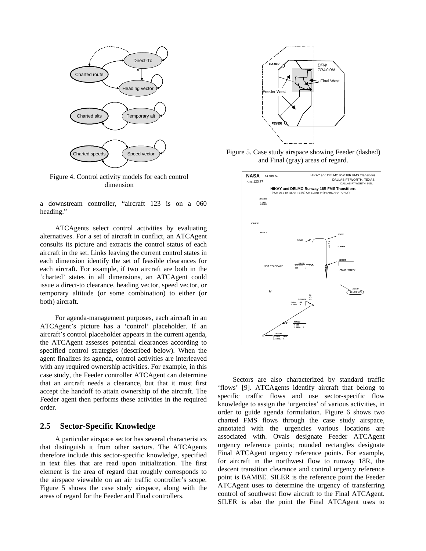

Figure 4. Control activity models for each control dimension

a downstream controller, "aircraft 123 is on a 060 heading."

ATCAgents select control activities by evaluating alternatives. For a set of aircraft in conflict, an ATCAgent consults its picture and extracts the control status of each aircraft in the set. Links leaving the current control states in each dimension identify the set of feasible clearances for each aircraft. For example, if two aircraft are both in the 'charted' states in all dimensions, an ATCAgent could issue a direct-to clearance, heading vector, speed vector, or temporary altitude (or some combination) to either (or both) aircraft.

For agenda-management purposes, each aircraft in an ATCAgent's picture has a 'control' placeholder. If an aircraft's control placeholder appears in the current agenda, the ATCAgent assesses potential clearances according to specified control strategies (described below). When the agent finalizes its agenda, control activities are interleaved with any required ownership activities. For example, in this case study, the Feeder controller ATCAgent can determine that an aircraft needs a clearance, but that it must first accept the handoff to attain ownership of the aircraft. The Feeder agent then performs these activities in the required order.

#### **2.5 Sector-Specific Knowledge**

A particular airspace sector has several characteristics that distinguish it from other sectors. The ATCAgents therefore include this sector-specific knowledge, specified in text files that are read upon initialization. The first element is the area of regard that roughly corresponds to the airspace viewable on an air traffic controller's scope. Figure 5 shows the case study airspace, along with the areas of regard for the Feeder and Final controllers.



Figure 5. Case study airspace showing Feeder (dashed) and Final (gray) areas of regard.



Sectors are also characterized by standard traffic 'flows' [9]. ATCAgents identify aircraft that belong to specific traffic flows and use sector-specific flow knowledge to assign the 'urgencies' of various activities, in order to guide agenda formulation. Figure 6 shows two charted FMS flows through the case study airspace, annotated with the urgencies various locations are associated with. Ovals designate Feeder ATCAgent urgency reference points; rounded rectangles designate Final ATCAgent urgency reference points. For example, for aircraft in the northwest flow to runway 18R, the descent transition clearance and control urgency reference point is BAMBE. SILER is the reference point the Feeder ATCAgent uses to determine the urgency of transferring control of southwest flow aircraft to the Final ATCAgent. SILER is also the point the Final ATCAgent uses to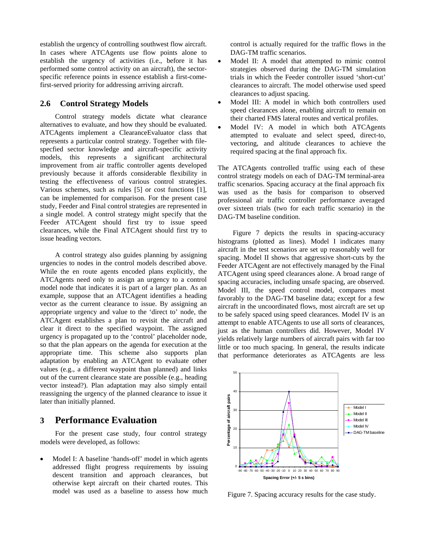establish the urgency of controlling southwest flow aircraft. In cases where ATCAgents use flow points alone to establish the urgency of activities (i.e., before it has performed some control activity on an aircraft), the sectorspecific reference points in essence establish a first-comefirst-served priority for addressing arriving aircraft.

#### **2.6 Control Strategy Models**

Control strategy models dictate what clearance alternatives to evaluate, and how they should be evaluated. ATCAgents implement a ClearanceEvaluator class that represents a particular control strategy. Together with filespecfied sector knowledge and aircraft-specific activity models, this represents a significant architectural improvement from air traffic controller agents developed previously because it affords considerable flexibility in testing the effectiveness of various control strategies. Various schemes, such as rules [5] or cost functions [1], can be implemented for comparison. For the present case study, Feeder and Final control strategies are represented in a single model. A control strategy might specify that the Feeder ATCAgent should first try to issue speed clearances, while the Final ATCAgent should first try to issue heading vectors.

A control strategy also guides planning by assigning urgencies to nodes in the control models described above. While the en route agents encoded plans explicitly, the ATCAgents need only to assign an urgency to a control model node that indicates it is part of a larger plan. As an example, suppose that an ATCAgent identifies a heading vector as the current clearance to issue. By assigning an appropriate urgency and value to the 'direct to' node, the ATCAgent establishes a plan to revisit the aircraft and clear it direct to the specified waypoint. The assigned urgency is propagated up to the 'control' placeholder node, so that the plan appears on the agenda for execution at the appropriate time. This scheme also supports plan adaptation by enabling an ATCAgent to evaluate other values (e.g., a different waypoint than planned) and links out of the current clearance state are possible (e.g., heading vector instead?). Plan adaptation may also simply entail reassigning the urgency of the planned clearance to issue it later than initially planned.

## **3 Performance Evaluation**

For the present case study, four control strategy models were developed, as follows:

• Model I: A baseline 'hands-off' model in which agents addressed flight progress requirements by issuing descent transition and approach clearances, but otherwise kept aircraft on their charted routes. This model was used as a baseline to assess how much control is actually required for the traffic flows in the DAG-TM traffic scenarios.

- Model II: A model that attempted to mimic control strategies observed during the DAG-TM simulation trials in which the Feeder controller issued 'short-cut' clearances to aircraft. The model otherwise used speed clearances to adjust spacing.
- Model III: A model in which both controllers used speed clearances alone, enabling aircraft to remain on their charted FMS lateral routes and vertical profiles.
- Model IV: A model in which both ATCAgents attempted to evaluate and select speed, direct-to, vectoring, and altitude clearances to achieve the required spacing at the final approach fix.

The ATCAgents controlled traffic using each of these control strategy models on each of DAG-TM terminal-area traffic scenarios. Spacing accuracy at the final approach fix was used as the basis for comparison to observed professional air traffic controller performance averaged over sixteen trials (two for each traffic scenario) in the DAG-TM baseline condition.

Figure 7 depicts the results in spacing-accuracy histograms (plotted as lines). Model I indicates many aircraft in the test scenarios are set up reasonably well for spacing. Model II shows that aggressive short-cuts by the Feeder ATCAgent are not effectively managed by the Final ATCAgent using speed clearances alone. A broad range of spacing accuracies, including unsafe spacing, are observed. Model III, the speed control model, compares most favorably to the DAG-TM baseline data; except for a few aircraft in the uncoordinated flows, most aircraft are set up to be safely spaced using speed clearances. Model IV is an attempt to enable ATCAgents to use all sorts of clearances, just as the human controllers did. However, Model IV yields relatively large numbers of aircraft pairs with far too little or too much spacing. In general, the results indicate that performance deteriorates as ATCAgents are less



Figure 7. Spacing accuracy results for the case study.